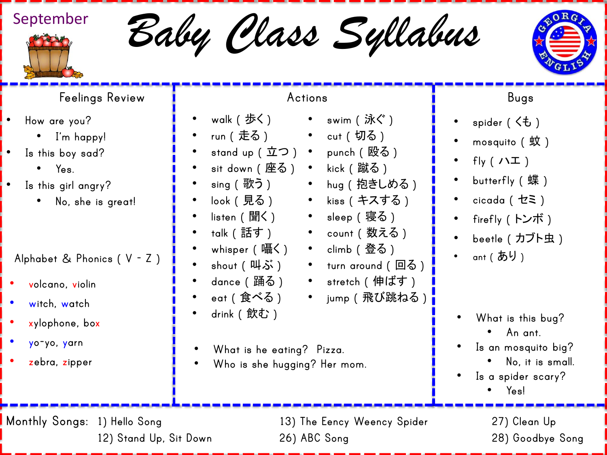

*Baby Class Syllabus* September



## **Feelings Review**

- **How are you?**
	- **I'm happy!**
- **Is this boy sad?**
	- **Yes.**
- **Is this girl angry?**
	- **No, she is great!**
- **Alphabet & Phonics ( V - Z )**
- **volcano, violin**
- **witch, watch**
- **xylophone, box**
- **yo-yo, yarn**
- **zebra, zipper**

## **Actions**

• **swim (** 泳ぐ **)**

• **kiss (** キスする **)**

• **count (** 数える **)** • **climb (** 登る **)**

• **stretch (** 伸ばす **)**

• **turn around (** 回る **)**

• **jump (** 飛び跳ねる **)**

• **sleep (** 寝る **)**

- **walk (** 歩く **)**
- **run (** 走る **) cut (** 切る **)**
- **stand up (** 立つ **) punch (** 殴る **)**
- **sit down (** 座る **) kick (** 蹴る **)** • **hug (** 抱きしめる **)**
- **sing (** 歌う **)**
- **look (** 見る **)**
- **listen (** 聞く **)**
- **talk (** 話す **)**
- **whisper (** 囁く **)**
- **shout (** 叫ぶ **)**
- **dance (** 踊る **)**
- **eat (** 食べる **)**
- **drink (** 飲む **)**
- **What is he eating? Pizza.**
- **Who is she hugging? Her mom.**
- **Bugs**
- **spider (** くも **)**
- **mosquito (** 蚊 **)**
- **fly (** ハエ **)**
- **butterfly (** 蝶 **)**
- **cicada (** セミ **)**
- **firefly (** トンボ **)**
- **beetle (** カブト虫 **)**
- **ant (** あり **)**

- **What is this bug?** 
	- **An ant.**
- **Is an mosquito big?** 
	- **No, it is small.**
- **Is a spider scary?** • **Yes!**
	-

**Monthly Songs: 1) Hello Song 13) The Eency Weency Spider 27) Clean Up**

**12) Stand Up, Sit Down 26) ABC Song 28) Goodbye Song**